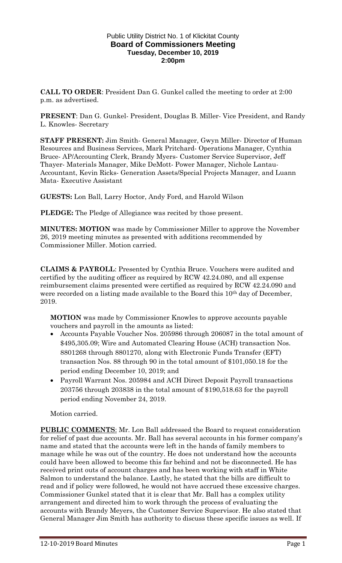### Public Utility District No. 1 of Klickitat County **Board of Commissioners Meeting Tuesday, December 10, 2019 2:00pm**

**CALL TO ORDER**: President Dan G. Gunkel called the meeting to order at 2:00 p.m. as advertised.

**PRESENT**: Dan G. Gunkel- President, Douglas B. Miller- Vice President, and Randy L. Knowles- Secretary

**STAFF PRESENT:** Jim Smith- General Manager, Gwyn Miller- Director of Human Resources and Business Services, Mark Pritchard- Operations Manager, Cynthia Bruce- AP/Accounting Clerk, Brandy Myers- Customer Service Supervisor, Jeff Thayer- Materials Manager, Mike DeMott- Power Manager, Nichole Lantau-Accountant, Kevin Ricks- Generation Assets/Special Projects Manager, and Luann Mata- Executive Assistant

**GUESTS:** Lon Ball, Larry Hoctor, Andy Ford, and Harold Wilson

**PLEDGE:** The Pledge of Allegiance was recited by those present.

**MINUTES: MOTION** was made by Commissioner Miller to approve the November 26, 2019 meeting minutes as presented with additions recommended by Commissioner Miller. Motion carried.

**CLAIMS & PAYROLL**: Presented by Cynthia Bruce. Vouchers were audited and certified by the auditing officer as required by RCW 42.24.080, and all expense reimbursement claims presented were certified as required by RCW 42.24.090 and were recorded on a listing made available to the Board this 10<sup>th</sup> day of December, 2019.

**MOTION** was made by Commissioner Knowles to approve accounts payable vouchers and payroll in the amounts as listed:

- Accounts Payable Voucher Nos. 205986 through 206087 in the total amount of \$495,305.09; Wire and Automated Clearing House (ACH) transaction Nos. 8801268 through 8801270, along with Electronic Funds Transfer (EFT) transaction Nos. 88 through 90 in the total amount of \$101,050.18 for the period ending December 10, 2019; and
- Payroll Warrant Nos. 205984 and ACH Direct Deposit Payroll transactions 203756 through 203838 in the total amount of \$190,518.63 for the payroll period ending November 24, 2019.

Motion carried.

**PUBLIC COMMENTS**: Mr. Lon Ball addressed the Board to request consideration for relief of past due accounts. Mr. Ball has several accounts in his former company's name and stated that the accounts were left in the hands of family members to manage while he was out of the country. He does not understand how the accounts could have been allowed to become this far behind and not be disconnected. He has received print outs of account charges and has been working with staff in White Salmon to understand the balance. Lastly, he stated that the bills are difficult to read and if policy were followed, he would not have accrued these excessive charges. Commissioner Gunkel stated that it is clear that Mr. Ball has a complex utility arrangement and directed him to work through the process of evaluating the accounts with Brandy Meyers, the Customer Service Supervisor. He also stated that General Manager Jim Smith has authority to discuss these specific issues as well. If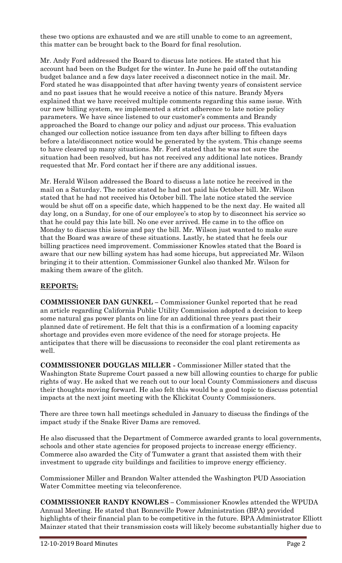these two options are exhausted and we are still unable to come to an agreement, this matter can be brought back to the Board for final resolution.

Mr. Andy Ford addressed the Board to discuss late notices. He stated that his account had been on the Budget for the winter. In June he paid off the outstanding budget balance and a few days later received a disconnect notice in the mail. Mr. Ford stated he was disappointed that after having twenty years of consistent service and no past issues that he would receive a notice of this nature. Brandy Myers explained that we have received multiple comments regarding this same issue. With our new billing system, we implemented a strict adherence to late notice policy parameters. We have since listened to our customer's comments and Brandy approached the Board to change our policy and adjust our process. This evaluation changed our collection notice issuance from ten days after billing to fifteen days before a late/disconnect notice would be generated by the system. This change seems to have cleared up many situations. Mr. Ford stated that he was not sure the situation had been resolved, but has not received any additional late notices. Brandy requested that Mr. Ford contact her if there are any additional issues.

Mr. Herald Wilson addressed the Board to discuss a late notice he received in the mail on a Saturday. The notice stated he had not paid his October bill. Mr. Wilson stated that he had not received his October bill. The late notice stated the service would be shut off on a specific date, which happened to be the next day. He waited all day long, on a Sunday, for one of our employee's to stop by to disconnect his service so that he could pay this late bill. No one ever arrived. He came in to the office on Monday to discuss this issue and pay the bill. Mr. Wilson just wanted to make sure that the Board was aware of these situations. Lastly, he stated that he feels our billing practices need improvement. Commissioner Knowles stated that the Board is aware that our new billing system has had some hiccups, but appreciated Mr. Wilson bringing it to their attention. Commissioner Gunkel also thanked Mr. Wilson for making them aware of the glitch.

# **REPORTS:**

**COMMISSIONER DAN GUNKEL –** Commissioner Gunkel reported that he read an article regarding California Public Utility Commission adopted a decision to keep some natural gas power plants on line for an additional three years past their planned date of retirement. He felt that this is a confirmation of a looming capacity shortage and provides even more evidence of the need for storage projects. He anticipates that there will be discussions to reconsider the coal plant retirements as well.

**COMMISSIONER DOUGLAS MILLER -** Commissioner Miller stated that the Washington State Supreme Court passed a new bill allowing counties to charge for public rights of way. He asked that we reach out to our local County Commissioners and discuss their thoughts moving forward. He also felt this would be a good topic to discuss potential impacts at the next joint meeting with the Klickitat County Commissioners.

There are three town hall meetings scheduled in January to discuss the findings of the impact study if the Snake River Dams are removed.

He also discussed that the Department of Commerce awarded grants to local governments, schools and other state agencies for proposed projects to increase energy efficiency. Commerce also awarded the City of Tumwater a grant that assisted them with their investment to upgrade city buildings and facilities to improve energy efficiency.

Commissioner Miller and Brandon Walter attended the Washington PUD Association Water Committee meeting via teleconference.

**COMMISSIONER RANDY KNOWLES –** Commissioner Knowles attended the WPUDA Annual Meeting. He stated that Bonneville Power Administration (BPA) provided highlights of their financial plan to be competitive in the future. BPA Administrator Elliott Mainzer stated that their transmission costs will likely become substantially higher due to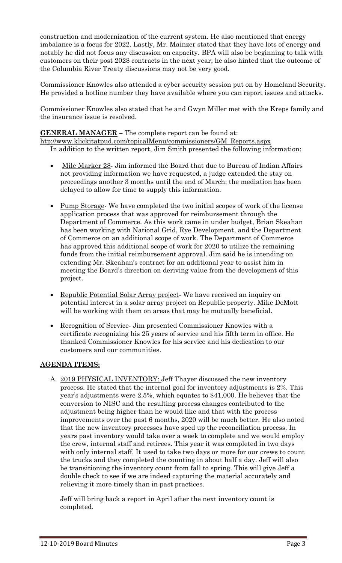construction and modernization of the current system. He also mentioned that energy imbalance is a focus for 2022. Lastly, Mr. Mainzer stated that they have lots of energy and notably he did not focus any discussion on capacity. BPA will also be beginning to talk with customers on their post 2028 contracts in the next year; he also hinted that the outcome of the Columbia River Treaty discussions may not be very good.

Commissioner Knowles also attended a cyber security session put on by Homeland Security. He provided a hotline number they have available where you can report issues and attacks.

Commissioner Knowles also stated that he and Gwyn Miller met with the Kreps family and the insurance issue is resolved.

### **GENERAL MANAGER –** The complete report can be found at:

[htp://www.klickitatpud.com/topicalMenu/commissioners/GM\\_Reports.aspx](http://www.klickitatpud.com/topicalMenu/commissioners/GM_Reports.aspx) In addition to the written report, Jim Smith presented the following information:

- Mile Marker 28- Jim informed the Board that due to Bureau of Indian Affairs not providing information we have requested, a judge extended the stay on proceedings another 3 months until the end of March; the mediation has been delayed to allow for time to supply this information.
- Pump Storage- We have completed the two initial scopes of work of the license application process that was approved for reimbursement through the Department of Commerce. As this work came in under budget, Brian Skeahan has been working with National Grid, Rye Development, and the Department of Commerce on an additional scope of work. The Department of Commerce has approved this additional scope of work for 2020 to utilize the remaining funds from the initial reimbursement approval. Jim said he is intending on extending Mr. Skeahan's contract for an additional year to assist him in meeting the Board's direction on deriving value from the development of this project.
- Republic Potential Solar Array project- We have received an inquiry on potential interest in a solar array project on Republic property. Mike DeMott will be working with them on areas that may be mutually beneficial.
- Recognition of Service- Jim presented Commissioner Knowles with a certificate recognizing his 25 years of service and his fifth term in office. He thanked Commissioner Knowles for his service and his dedication to our customers and our communities.

# **AGENDA ITEMS:**

A. 2019 PHYSICAL INVENTORY: Jeff Thayer discussed the new inventory process. He stated that the internal goal for inventory adjustments is 2%. This year's adjustments were 2.5%, which equates to \$41,000. He believes that the conversion to NISC and the resulting process changes contributed to the adjustment being higher than he would like and that with the process improvements over the past 6 months, 2020 will be much better. He also noted that the new inventory processes have sped up the reconciliation process. In years past inventory would take over a week to complete and we would employ the crew, internal staff and retirees. This year it was completed in two days with only internal staff. It used to take two days or more for our crews to count the trucks and they completed the counting in about half a day. Jeff will also be transitioning the inventory count from fall to spring. This will give Jeff a double check to see if we are indeed capturing the material accurately and relieving it more timely than in past practices.

Jeff will bring back a report in April after the next inventory count is completed.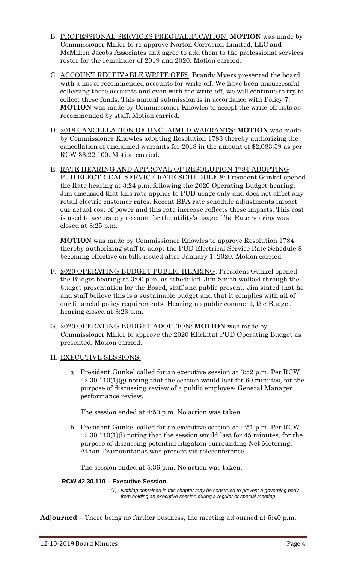- B. PROFESSIONAL SERVICES PREQUALIFICATION: **MOTION** was made by Commissioner Miller to re-approve Norton Corrosion Limited, LLC and McMillen Jacobs Associates and agree to add them to the professional services roster for the remainder of 2019 and 2020. Motion carried.
- C. ACCOUNT RECEIVABLE WRITE OFFS: Brandy Myers presented the board with a list of recommended accounts for write-off. We have been unsuccessful collecting these accounts and even with the write-off, we will continue to try to collect these funds. This annual submission is in accordance with Policy 7. **MOTION** was made by Commissioner Knowles to accept the write-off lists as recommended by staff. Motion carried.
- D. 2018 CANCELLATION OF UNCLAIMED WARRANTS: **MOTION** was made by Commissioner Knowles adopting Resolution 1783 thereby authorizing the cancellation of unclaimed warrants for 2018 in the amount of \$2,083.59 as per RCW 36.22.100. Motion carried.
- E. RATE HEARING AND APPROVAL OF RESOLUTION 1784-ADOPTING PUD ELECTRICAL SERVICE RATE SCHEDULE 8: President Gunkel opened the Rate hearing at 3:24 p.m. following the 2020 Operating Budget hearing. Jim discussed that this rate applies to PUD usage only and does not affect any retail electric customer rates. Recent BPA rate schedule adjustments impact our actual cost of power and this rate increase reflects these impacts. This cost is used to accurately account for the utility's usage. The Rate hearing was closed at 3:25 p.m.

**MOTION** was made by Commissioner Knowles to approve Resolution 1784 thereby authorizing staff to adopt the PUD Electrical Service Rate Schedule 8 becoming effective on bills issued after January 1, 2020. Motion carried.

- F. 2020 OPERATING BUDGET PUBLIC HEARING: President Gunkel opened the Budget hearing at 3:00 p.m. as scheduled. Jim Smith walked through the budget presentation for the Board, staff and public present. Jim stated that he and staff believe this is a sustainable budget and that it complies with all of our financial policy requirements. Hearing no public comment, the Budget hearing closed at 3:23 p.m.
- G. 2020 OPERATING BUDGET ADOPTION: **MOTION** was made by Commissioner Miller to approve the 2020 Klickitat PUD Operating Budget as presented. Motion carried.
- H. EXECUTIVE SESSIONS:
	- a. President Gunkel called for an executive session at 3:52 p.m. Per RCW 42.30.110(1)(g) noting that the session would last for 60 minutes, for the purpose of discussing review of a public employee- General Manager performance review.

The session ended at 4:50 p.m. No action was taken.

b. President Gunkel called for an executive session at 4:51 p.m. Per RCW 42.30.110(1)(i) noting that the session would last for 45 minutes, for the purpose of discussing potential litigation surrounding Net Metering. Athan Tramountanas was present via teleconference.

The session ended at 5:36 p.m. No action was taken.

### **RCW 42.30.110 – Executive Session.**

*(1) Nothing contained in this chapter may be construed to prevent a governing body from holding an executive session during a regular or special meeting:*

**Adjourned** – There being no further business, the meeting adjourned at 5:40 p.m.